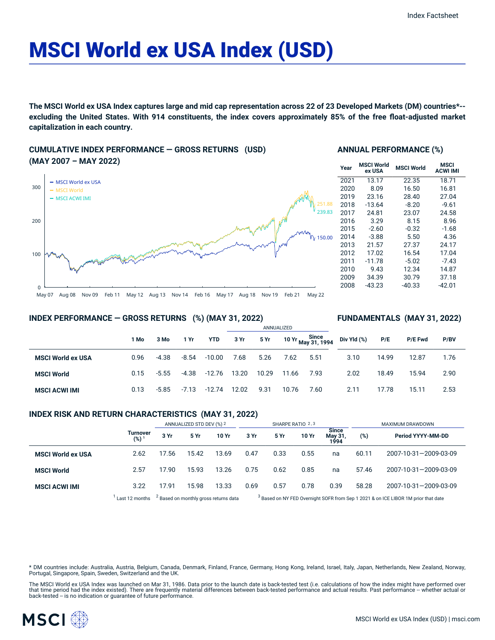# MSCI World ex USA Index (USD)

The MSCI World ex USA Index captures large and mid cap representation across 22 of 23 Developed Markets (DM) countries\*-excluding the United States. With 914 constituents, the index covers approximately 85% of the free float-adjusted market **capitalization in each country.**

## **CUMULATIVE INDEX PERFORMANCE — GROSS RETURNS (USD) (MAY 2007 – MAY 2022)**



## **ANNUAL PERFORMANCE (%)**

| Year | MSCI World<br>ex USA | <b>MSCI World</b> | <b>MSCI</b><br><b>ACWI IMI</b> |
|------|----------------------|-------------------|--------------------------------|
| 2021 | 13.17                | 22.35             | 18.71                          |
| 2020 | 8.09                 | 16.50             | 16.81                          |
| 2019 | 23.16                | 28.40             | 27.04                          |
| 2018 | $-13.64$             | $-8.20$           | $-9.61$                        |
| 2017 | 24.81                | 23.07             | 24.58                          |
| 2016 | 3.29                 | 8.15              | 8.96                           |
| 2015 | -2.60                | $-0.32$           | $-1.68$                        |
| 2014 | $-3.88$              | 5.50              | 4.36                           |
| 2013 | 21.57                | 27.37             | 24.17                          |
| 2012 | 17.02                | 16.54             | 17.04                          |
| 2011 | $-11.78$             | $-5.02$           | $-7.43$                        |
| 2010 | 9.43                 | 12.34             | 14.87                          |
| 2009 | 34.39                | 30.79             | 37.18                          |
| 2008 | $-43.23$             | $-40.33$          | -42.01                         |

**FUNDAMENTALS (MAY 31, 2022)**

## **INDEX PERFORMANCE — GROSS RETURNS (%) (MAY 31, 2022)**

#### ANNUALIZED **1 Mo 3 Mo 1 Yr YTD 3 Yr 5 Yr 10 Yr Since May 31, 1994 MSCI World ex USA** 0.96 -4.38 -8.54 -10.00 7.68 5.26 7.62 5.51 **MSCI World** 0.15 -5.55 -4.38 -12.76 13.20 10.29 11.66 7.93 **MSCI ACWI IMI** 0.13 -5.85 -7.13 -12.74 12.02 9.31 10.76 7.60 **Div Yld (%) P/E P/E Fwd P/BV** 3.10 14.99 12.87 1.76 2.02 18.49 15.94 2.90 2.11 17.78 15.11 2.53

## **INDEX RISK AND RETURN CHARACTERISTICS (MAY 31, 2022)**

|                          |                            | ANNUALIZED STD DEV (%) 2                         |       | SHARPE RATIO 2,3 |                                                                                               |      |       | MAXIMUM DRAWDOWN                |       |                       |
|--------------------------|----------------------------|--------------------------------------------------|-------|------------------|-----------------------------------------------------------------------------------------------|------|-------|---------------------------------|-------|-----------------------|
|                          | <b>Turnover</b><br>$(%)^1$ | 3 Yr                                             | 5 Yr  | 10 Yr            | 3 Yr                                                                                          | 5 Yr | 10 Yr | <b>Since</b><br>May 31,<br>1994 | (%)   | Period YYYY-MM-DD     |
| <b>MSCI World ex USA</b> | 2.62                       | 17.56                                            | 15.42 | 13.69            | 0.47                                                                                          | 0.33 | 0.55  | na                              | 60.11 | 2007-10-31-2009-03-09 |
| <b>MSCI World</b>        | 2.57                       | 17.90                                            | 15.93 | 13.26            | 0.75                                                                                          | 0.62 | 0.85  | na                              | 57.46 | 2007-10-31-2009-03-09 |
| <b>MSCI ACWI IMI</b>     | 3.22                       | 17.91                                            | 15.98 | 13.33            | 0.69                                                                                          | 0.57 | 0.78  | 0.39                            | 58.28 | 2007-10-31-2009-03-09 |
|                          | Last 12 months             | <sup>2</sup> Based on monthly gross returns data |       |                  | <sup>3</sup> Based on NY FED Overnight SOFR from Sep 1 2021 & on ICE LIBOR 1M prior that date |      |       |                                 |       |                       |

\* DM countries include: Australia, Austria, Belgium, Canada, Denmark, Finland, France, Germany, Hong Kong, Ireland, Israel, Italy, Japan, Netherlands, New Zealand, Norway, Portugal, Singapore, Spain, Sweden, Switzerland and the UK.

The MSCI World ex USA Index was launched on Mar 31, 1986. Data prior to the launch date is back-tested test (i.e. calculations of how the index might have performed over that time period had the index existed). There are frequently material differences between back-tested performance and actual results. Past performance -- whether actual or<br>back-tested -- is no indication or guarantee of f

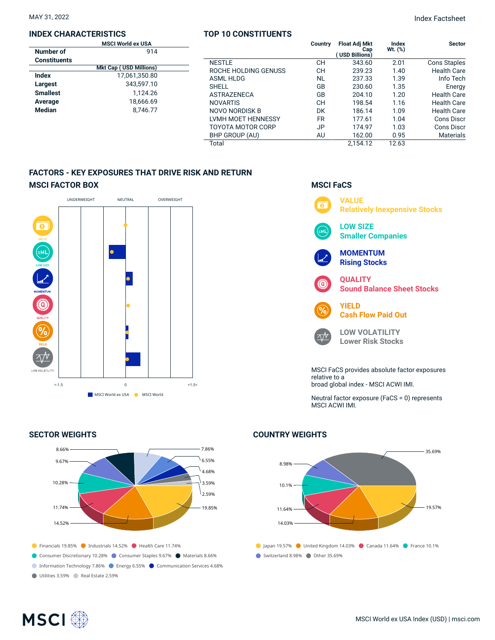## **INDEX CHARACTERISTICS**

|                     | <b>MSCI World ex USA</b>      |  |
|---------------------|-------------------------------|--|
| Number of           | 914                           |  |
| <b>Constituents</b> |                               |  |
|                     | <b>Mkt Cap (USD Millions)</b> |  |
| Index               | 17,061,350.80                 |  |
| Largest             | 343,597.10                    |  |
| <b>Smallest</b>     | 1.124.26                      |  |
| Average             | 18.666.69                     |  |
| <b>Median</b>       | 8.746.77                      |  |
|                     |                               |  |

## **TOP 10 CONSTITUENTS**

|                      | Country   | <b>Float Adj Mkt</b><br>Cap<br>(USD Billions) | Index<br>Wt. (%) | <b>Sector</b>       |
|----------------------|-----------|-----------------------------------------------|------------------|---------------------|
| <b>NESTLE</b>        | CН        | 343.60                                        | 2.01             | <b>Cons Staples</b> |
| ROCHE HOLDING GENUSS | CН        | 239.23                                        | 1.40             | <b>Health Care</b>  |
| <b>ASML HLDG</b>     | NL        | 237.33                                        | 1.39             | Info Tech           |
| <b>SHELL</b>         | GB        | 230.60                                        | 1.35             | Energy              |
| <b>ASTRAZENECA</b>   | GB        | 204.10                                        | 1.20             | <b>Health Care</b>  |
| <b>NOVARTIS</b>      | CН        | 198.54                                        | 1.16             | <b>Health Care</b>  |
| NOVO NORDISK B       | DK        | 186.14                                        | 1.09             | <b>Health Care</b>  |
| LVMH MOET HENNESSY   | <b>FR</b> | 177.61                                        | 1.04             | Cons Discr          |
| TOYOTA MOTOR CORP    | <b>JP</b> | 174.97                                        | 1.03             | Cons Discr          |
| BHP GROUP (AU)       | AU        | 162.00                                        | 0.95             | <b>Materials</b>    |
| Total                |           | 2.154.12                                      | 12.63            |                     |

## **FACTORS - KEY EXPOSURES THAT DRIVE RISK AND RETURN MSCI FACTOR BOX**



## **SECTOR WEIGHTS**



## **MSCI FaCS**



Neutral factor exposure (FaCS = 0) represents MSCI ACWI IMI.

## **COUNTRY WEIGHTS**